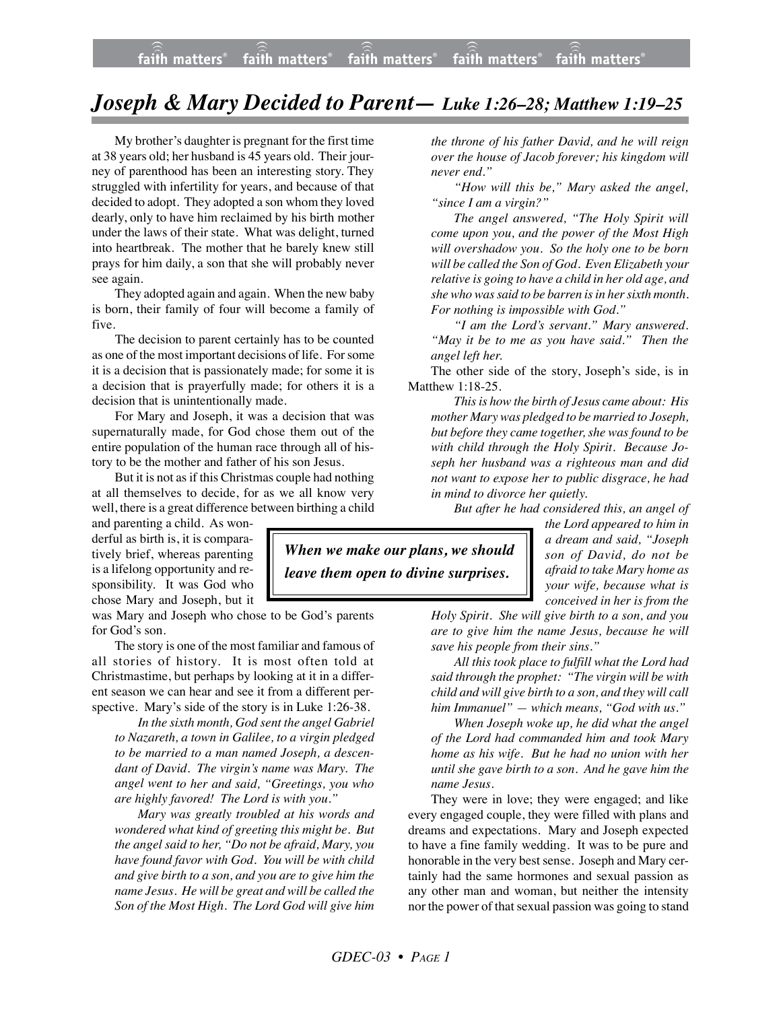## *Joseph & Mary Decided to Parent— Luke 1:26–28; Matthew 1:19–25*

My brother's daughter is pregnant for the first time at 38 years old; her husband is 45 years old. Their journey of parenthood has been an interesting story. They struggled with infertility for years, and because of that decided to adopt. They adopted a son whom they loved dearly, only to have him reclaimed by his birth mother under the laws of their state. What was delight, turned into heartbreak. The mother that he barely knew still prays for him daily, a son that she will probably never see again.

They adopted again and again. When the new baby is born, their family of four will become a family of five.

The decision to parent certainly has to be counted as one of the most important decisions of life. For some it is a decision that is passionately made; for some it is a decision that is prayerfully made; for others it is a decision that is unintentionally made.

For Mary and Joseph, it was a decision that was supernaturally made, for God chose them out of the entire population of the human race through all of history to be the mother and father of his son Jesus.

But it is not as if this Christmas couple had nothing at all themselves to decide, for as we all know very well, there is a great difference between birthing a child

and parenting a child. As wonderful as birth is, it is comparatively brief, whereas parenting is a lifelong opportunity and responsibility. It was God who chose Mary and Joseph, but it

was Mary and Joseph who chose to be God's parents for God's son.

The story is one of the most familiar and famous of all stories of history. It is most often told at Christmastime, but perhaps by looking at it in a different season we can hear and see it from a different perspective. Mary's side of the story is in Luke 1:26-38.

*In the sixth month, God sent the angel Gabriel to Nazareth, a town in Galilee, to a virgin pledged to be married to a man named Joseph, a descendant of David. The virgin's name was Mary. The angel went to her and said, "Greetings, you who are highly favored! The Lord is with you."*

*Mary was greatly troubled at his words and wondered what kind of greeting this might be. But the angel said to her, "Do not be afraid, Mary, you have found favor with God. You will be with child and give birth to a son, and you are to give him the name Jesus. He will be great and will be called the Son of the Most High. The Lord God will give him*

*the throne of his father David, and he will reign over the house of Jacob forever; his kingdom will never end."*

*"How will this be," Mary asked the angel, "since I am a virgin?"*

*The angel answered, "The Holy Spirit will come upon you, and the power of the Most High will overshadow you. So the holy one to be born will be called the Son of God. Even Elizabeth your relative is going to have a child in her old age, and she who was said to be barren is in her sixth month. For nothing is impossible with God."*

*"I am the Lord's servant." Mary answered. "May it be to me as you have said." Then the angel left her.*

The other side of the story, Joseph's side, is in Matthew 1:18-25.

*This is how the birth of Jesus came about: His mother Mary was pledged to be married to Joseph, but before they came together, she was found to be with child through the Holy Spirit. Because Joseph her husband was a righteous man and did not want to expose her to public disgrace, he had in mind to divorce her quietly.*

*But after he had considered this, an angel of*

*When we make our plans, we should leave them open to divine surprises.*

*the Lord appeared to him in a dream and said, "Joseph son of David, do not be afraid to take Mary home as your wife, because what is conceived in her is from the*

*Holy Spirit. She will give birth to a son, and you are to give him the name Jesus, because he will save his people from their sins."*

*All this took place to fulfill what the Lord had said through the prophet: "The virgin will be with child and will give birth to a son, and they will call him Immanuel" — which means, "God with us."*

*When Joseph woke up, he did what the angel of the Lord had commanded him and took Mary home as his wife. But he had no union with her until she gave birth to a son. And he gave him the name Jesus.*

They were in love; they were engaged; and like every engaged couple, they were filled with plans and dreams and expectations. Mary and Joseph expected to have a fine family wedding. It was to be pure and honorable in the very best sense. Joseph and Mary certainly had the same hormones and sexual passion as any other man and woman, but neither the intensity nor the power of that sexual passion was going to stand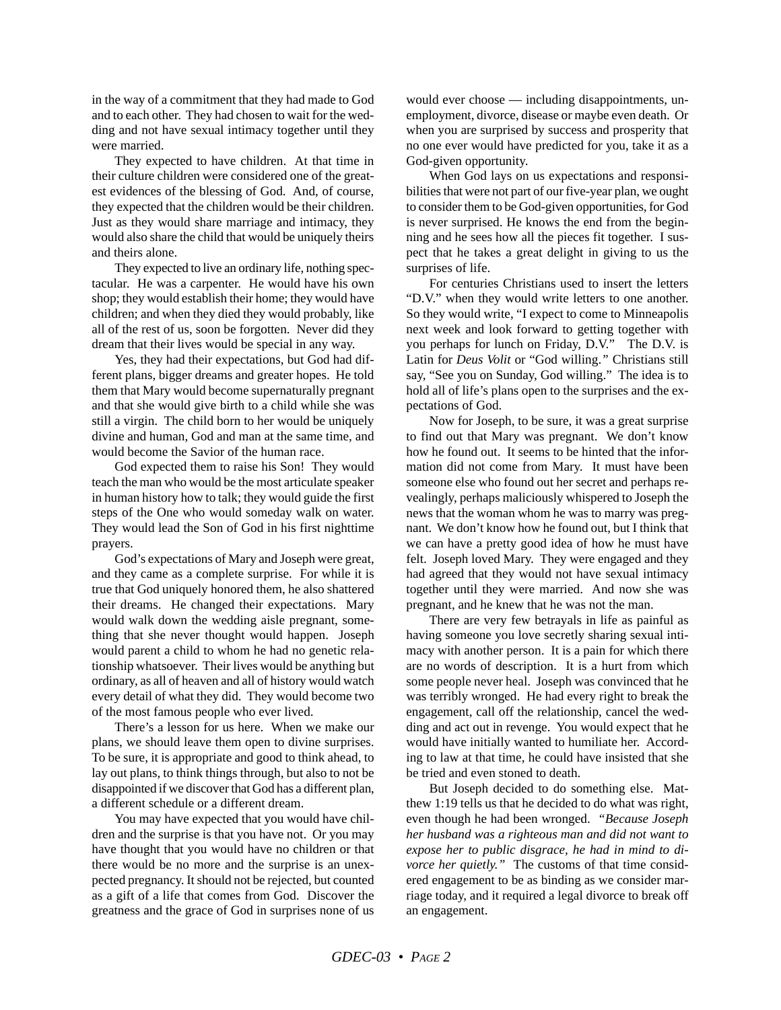in the way of a commitment that they had made to God and to each other. They had chosen to wait for the wedding and not have sexual intimacy together until they were married.

They expected to have children. At that time in their culture children were considered one of the greatest evidences of the blessing of God. And, of course, they expected that the children would be their children. Just as they would share marriage and intimacy, they would also share the child that would be uniquely theirs and theirs alone.

They expected to live an ordinary life, nothing spectacular. He was a carpenter. He would have his own shop; they would establish their home; they would have children; and when they died they would probably, like all of the rest of us, soon be forgotten. Never did they dream that their lives would be special in any way.

Yes, they had their expectations, but God had different plans, bigger dreams and greater hopes. He told them that Mary would become supernaturally pregnant and that she would give birth to a child while she was still a virgin. The child born to her would be uniquely divine and human, God and man at the same time, and would become the Savior of the human race.

God expected them to raise his Son! They would teach the man who would be the most articulate speaker in human history how to talk; they would guide the first steps of the One who would someday walk on water. They would lead the Son of God in his first nighttime prayers.

God's expectations of Mary and Joseph were great, and they came as a complete surprise. For while it is true that God uniquely honored them, he also shattered their dreams. He changed their expectations. Mary would walk down the wedding aisle pregnant, something that she never thought would happen. Joseph would parent a child to whom he had no genetic relationship whatsoever. Their lives would be anything but ordinary, as all of heaven and all of history would watch every detail of what they did. They would become two of the most famous people who ever lived.

There's a lesson for us here. When we make our plans, we should leave them open to divine surprises. To be sure, it is appropriate and good to think ahead, to lay out plans, to think things through, but also to not be disappointed if we discover that God has a different plan, a different schedule or a different dream.

You may have expected that you would have children and the surprise is that you have not. Or you may have thought that you would have no children or that there would be no more and the surprise is an unexpected pregnancy. It should not be rejected, but counted as a gift of a life that comes from God. Discover the greatness and the grace of God in surprises none of us would ever choose — including disappointments, unemployment, divorce, disease or maybe even death. Or when you are surprised by success and prosperity that no one ever would have predicted for you, take it as a God-given opportunity.

When God lays on us expectations and responsibilities that were not part of our five-year plan, we ought to consider them to be God-given opportunities, for God is never surprised. He knows the end from the beginning and he sees how all the pieces fit together. I suspect that he takes a great delight in giving to us the surprises of life.

For centuries Christians used to insert the letters "D.V." when they would write letters to one another. So they would write, "I expect to come to Minneapolis next week and look forward to getting together with you perhaps for lunch on Friday, D.V." The D.V. is Latin for *Deus Volit* or "God willing.*"* Christians still say, "See you on Sunday, God willing." The idea is to hold all of life's plans open to the surprises and the expectations of God.

Now for Joseph, to be sure, it was a great surprise to find out that Mary was pregnant. We don't know how he found out. It seems to be hinted that the information did not come from Mary. It must have been someone else who found out her secret and perhaps revealingly, perhaps maliciously whispered to Joseph the news that the woman whom he was to marry was pregnant. We don't know how he found out, but I think that we can have a pretty good idea of how he must have felt. Joseph loved Mary. They were engaged and they had agreed that they would not have sexual intimacy together until they were married. And now she was pregnant, and he knew that he was not the man.

There are very few betrayals in life as painful as having someone you love secretly sharing sexual intimacy with another person. It is a pain for which there are no words of description. It is a hurt from which some people never heal. Joseph was convinced that he was terribly wronged. He had every right to break the engagement, call off the relationship, cancel the wedding and act out in revenge. You would expect that he would have initially wanted to humiliate her. According to law at that time, he could have insisted that she be tried and even stoned to death.

But Joseph decided to do something else. Matthew 1:19 tells us that he decided to do what was right, even though he had been wronged. *"Because Joseph her husband was a righteous man and did not want to expose her to public disgrace, he had in mind to divorce her quietly."* The customs of that time considered engagement to be as binding as we consider marriage today, and it required a legal divorce to break off an engagement.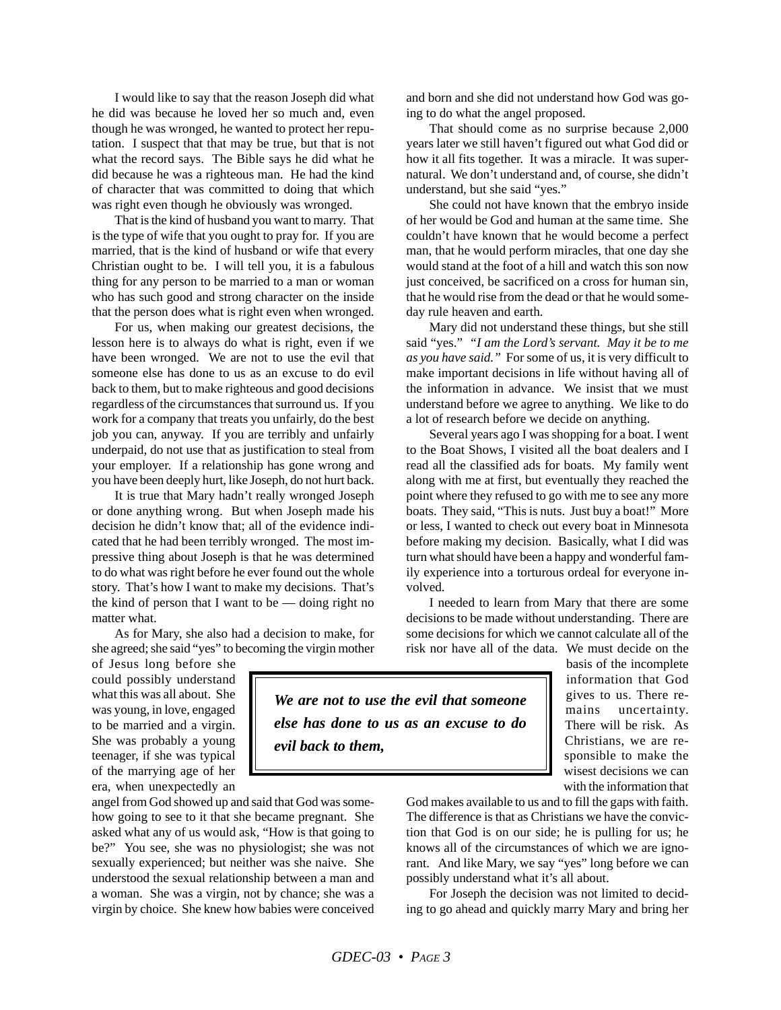I would like to say that the reason Joseph did what he did was because he loved her so much and, even though he was wronged, he wanted to protect her reputation. I suspect that that may be true, but that is not what the record says. The Bible says he did what he did because he was a righteous man. He had the kind of character that was committed to doing that which was right even though he obviously was wronged.

That is the kind of husband you want to marry. That is the type of wife that you ought to pray for. If you are married, that is the kind of husband or wife that every Christian ought to be. I will tell you, it is a fabulous thing for any person to be married to a man or woman who has such good and strong character on the inside that the person does what is right even when wronged.

For us, when making our greatest decisions, the lesson here is to always do what is right, even if we have been wronged. We are not to use the evil that someone else has done to us as an excuse to do evil back to them, but to make righteous and good decisions regardless of the circumstances that surround us. If you work for a company that treats you unfairly, do the best job you can, anyway. If you are terribly and unfairly underpaid, do not use that as justification to steal from your employer. If a relationship has gone wrong and you have been deeply hurt, like Joseph, do not hurt back.

It is true that Mary hadn't really wronged Joseph or done anything wrong. But when Joseph made his decision he didn't know that; all of the evidence indicated that he had been terribly wronged. The most impressive thing about Joseph is that he was determined to do what was right before he ever found out the whole story. That's how I want to make my decisions. That's the kind of person that I want to be  $-$  doing right no matter what.

As for Mary, she also had a decision to make, for she agreed; she said "yes" to becoming the virgin mother

of Jesus long before she could possibly understand what this was all about. She was young, in love, engaged to be married and a virgin. She was probably a young teenager, if she was typical of the marrying age of her era, when unexpectedly an

angel from God showed up and said that God was somehow going to see to it that she became pregnant. She asked what any of us would ask, "How is that going to be?" You see, she was no physiologist; she was not sexually experienced; but neither was she naive. She understood the sexual relationship between a man and a woman. She was a virgin, not by chance; she was a virgin by choice. She knew how babies were conceived and born and she did not understand how God was going to do what the angel proposed.

That should come as no surprise because 2,000 years later we still haven't figured out what God did or how it all fits together. It was a miracle. It was supernatural. We don't understand and, of course, she didn't understand, but she said "yes."

She could not have known that the embryo inside of her would be God and human at the same time. She couldn't have known that he would become a perfect man, that he would perform miracles, that one day she would stand at the foot of a hill and watch this son now just conceived, be sacrificed on a cross for human sin, that he would rise from the dead or that he would someday rule heaven and earth.

Mary did not understand these things, but she still said "yes." *"I am the Lord's servant. May it be to me as you have said."* For some of us, it is very difficult to make important decisions in life without having all of the information in advance. We insist that we must understand before we agree to anything. We like to do a lot of research before we decide on anything.

Several years ago I was shopping for a boat. I went to the Boat Shows, I visited all the boat dealers and I read all the classified ads for boats. My family went along with me at first, but eventually they reached the point where they refused to go with me to see any more boats. They said, "This is nuts. Just buy a boat!" More or less, I wanted to check out every boat in Minnesota before making my decision. Basically, what I did was turn what should have been a happy and wonderful family experience into a torturous ordeal for everyone involved.

I needed to learn from Mary that there are some decisions to be made without understanding. There are some decisions for which we cannot calculate all of the risk nor have all of the data. We must decide on the

*We are not to use the evil that someone else has done to us as an excuse to do evil back to them,*

basis of the incomplete information that God gives to us. There remains uncertainty. There will be risk. As Christians, we are responsible to make the wisest decisions we can with the information that

God makes available to us and to fill the gaps with faith. The difference is that as Christians we have the conviction that God is on our side; he is pulling for us; he knows all of the circumstances of which we are ignorant. And like Mary, we say "yes" long before we can possibly understand what it's all about.

For Joseph the decision was not limited to deciding to go ahead and quickly marry Mary and bring her